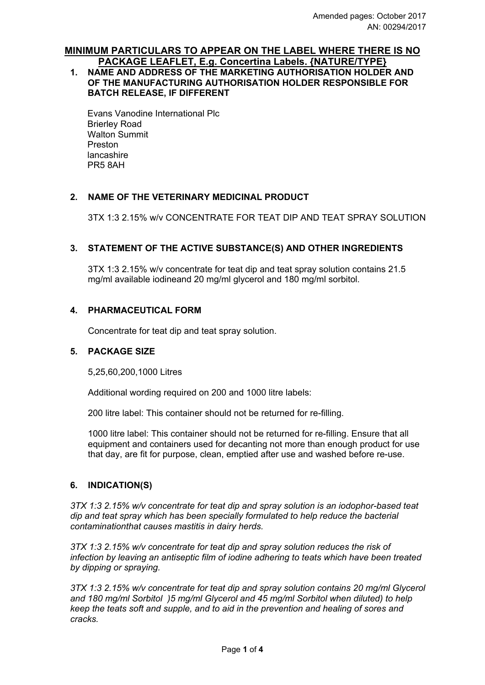#### **MINIMUM PARTICULARS TO APPEAR ON THE LABEL WHERE THERE IS NO PACKAGE LEAFLET, E.g. Concertina Labels. {NATURE/TYPE}**

# **1. NAME AND ADDRESS OF THE MARKETING AUTHORISATION HOLDER AND OF THE MANUFACTURING AUTHORISATION HOLDER RESPONSIBLE FOR BATCH RELEASE, IF DIFFERENT**

Evans Vanodine International Plc Brierley Road Walton Summit Preston lancashire PR5 8AH

#### **2. NAME OF THE VETERINARY MEDICINAL PRODUCT**

3TX 1:3 2.15% w/v CONCENTRATE FOR TEAT DIP AND TEAT SPRAY SOLUTION

#### **3. STATEMENT OF THE ACTIVE SUBSTANCE(S) AND OTHER INGREDIENTS**

3TX 1:3 2.15% w/v concentrate for teat dip and teat spray solution contains 21.5 mg/ml available iodineand 20 mg/ml glycerol and 180 mg/ml sorbitol.

#### **4. PHARMACEUTICAL FORM**

Concentrate for teat dip and teat spray solution.

#### **5. PACKAGE SIZE**

5,25,60,200,1000 Litres

Additional wording required on 200 and 1000 litre labels:

200 litre label: This container should not be returned for re-filling.

1000 litre label: This container should not be returned for re-filling. Ensure that all equipment and containers used for decanting not more than enough product for use that day, are fit for purpose, clean, emptied after use and washed before re-use.

#### **6. INDICATION(S)**

*3TX 1:3 2.15% w/v concentrate for teat dip and spray solution is an iodophor-based teat dip and teat spray which has been specially formulated to help reduce the bacterial contaminationthat causes mastitis in dairy herds.*

*3TX 1:3 2.15% w/v concentrate for teat dip and spray solution reduces the risk of infection by leaving an antiseptic film of iodine adhering to teats which have been treated by dipping or spraying.*

*3TX 1:3 2.15% w/v concentrate for teat dip and spray solution contains 20 mg/ml Glycerol and 180 mg/ml Sorbitol )5 mg/ml Glycerol and 45 mg/ml Sorbitol when diluted) to help keep the teats soft and supple, and to aid in the prevention and healing of sores and cracks.*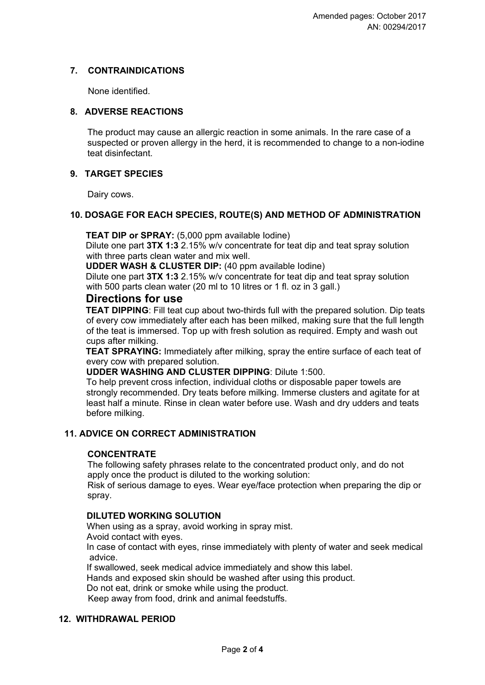### **7. CONTRAINDICATIONS**

None identified.

### **8. ADVERSE REACTIONS**

The product may cause an allergic reaction in some animals. In the rare case of a suspected or proven allergy in the herd, it is recommended to change to a non-iodine teat disinfectant.

# **9. TARGET SPECIES**

Dairy cows.

#### **10. DOSAGE FOR EACH SPECIES, ROUTE(S) AND METHOD OF ADMINISTRATION**

**TEAT DIP or SPRAY:** (5,000 ppm available lodine)

Dilute one part **3TX 1:3** 2.15% w/v concentrate for teat dip and teat spray solution with three parts clean water and mix well.

**UDDER WASH & CLUSTER DIP:** (40 ppm available Iodine)

Dilute one part **3TX 1:3** 2.15% w/v concentrate for teat dip and teat spray solution with 500 parts clean water (20 ml to 10 litres or 1 fl. oz in 3 gall.)

# **Directions for use**

**TEAT DIPPING**: Fill teat cup about two-thirds full with the prepared solution. Dip teats of every cow immediately after each has been milked, making sure that the full length of the teat is immersed. Top up with fresh solution as required. Empty and wash out cups after milking.

**TEAT SPRAYING:** Immediately after milking, spray the entire surface of each teat of every cow with prepared solution.

#### **UDDER WASHING AND CLUSTER DIPPING**: Dilute 1:500.

To help prevent cross infection, individual cloths or disposable paper towels are strongly recommended. Dry teats before milking. Immerse clusters and agitate for at least half a minute. Rinse in clean water before use. Wash and dry udders and teats before milking.

# **11. ADVICE ON CORRECT ADMINISTRATION**

#### **CONCENTRATE**

The following safety phrases relate to the concentrated product only, and do not apply once the product is diluted to the working solution:

Risk of serious damage to eyes. Wear eye/face protection when preparing the dip or spray.

#### **DILUTED WORKING SOLUTION**

When using as a spray, avoid working in spray mist. Avoid contact with eyes.

In case of contact with eyes, rinse immediately with plenty of water and seek medical advice.

If swallowed, seek medical advice immediately and show this label. Hands and exposed skin should be washed after using this product. Do not eat, drink or smoke while using the product. Keep away from food, drink and animal feedstuffs.

#### **12. WITHDRAWAL PERIOD**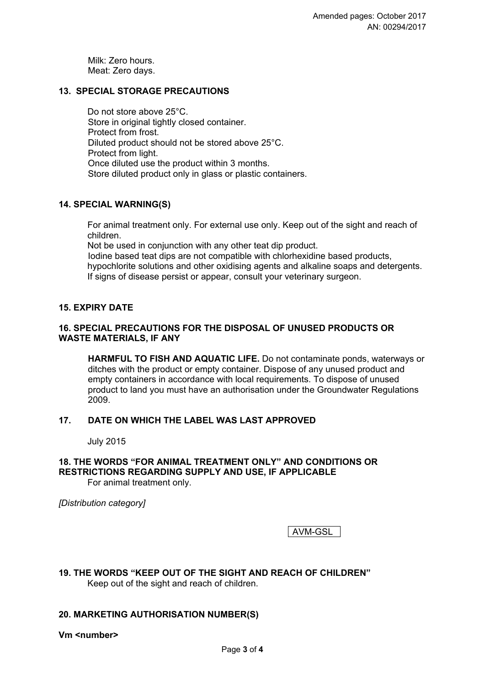Milk: Zero hours. Meat: Zero days.

#### **13. SPECIAL STORAGE PRECAUTIONS**

Do not store above 25°C. Store in original tightly closed container. Protect from frost. Diluted product should not be stored above 25°C. Protect from light. Once diluted use the product within 3 months. Store diluted product only in glass or plastic containers.

#### **14. SPECIAL WARNING(S)**

For animal treatment only. For external use only. Keep out of the sight and reach of children.

Not be used in conjunction with any other teat dip product.

Iodine based teat dips are not compatible with chlorhexidine based products, hypochlorite solutions and other oxidising agents and alkaline soaps and detergents. If signs of disease persist or appear, consult your veterinary surgeon.

#### **15. EXPIRY DATE**

#### **16. SPECIAL PRECAUTIONS FOR THE DISPOSAL OF UNUSED PRODUCTS OR WASTE MATERIALS, IF ANY**

**HARMFUL TO FISH AND AQUATIC LIFE.** Do not contaminate ponds, waterways or ditches with the product or empty container. Dispose of any unused product and empty containers in accordance with local requirements. To dispose of unused product to land you must have an authorisation under the Groundwater Regulations 2009.

#### **17. DATE ON WHICH THE LABEL WAS LAST APPROVED**

July 2015

# **18. THE WORDS "FOR ANIMAL TREATMENT ONLY" AND CONDITIONS OR RESTRICTIONS REGARDING SUPPLY AND USE, IF APPLICABLE**

For animal treatment only.

*[Distribution category]*

AVM-GSL

**19. THE WORDS "KEEP OUT OF THE SIGHT AND REACH OF CHILDREN"**  Keep out of the sight and reach of children.

#### **20. MARKETING AUTHORISATION NUMBER(S)**

**Vm <number>**